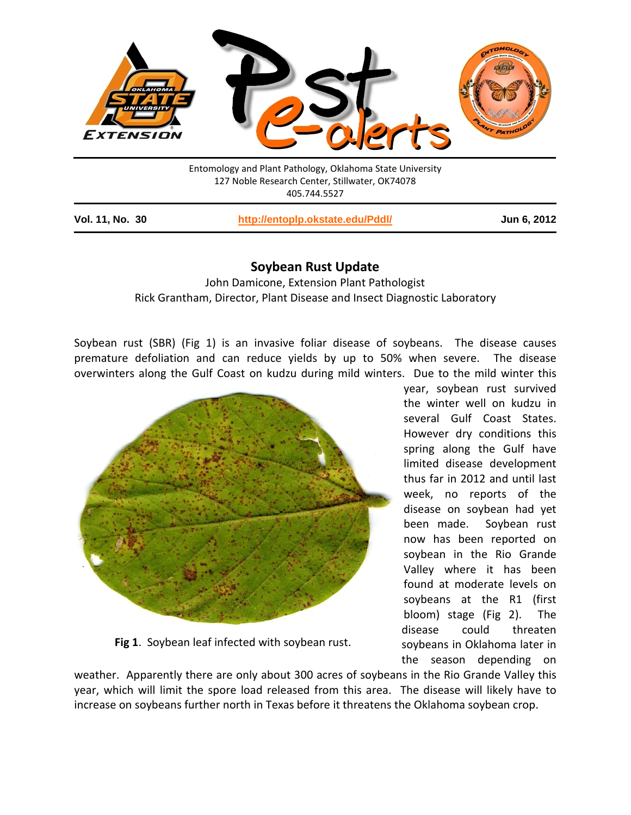

Entomology and Plant Pathology, Oklahoma State University 127 Noble Research Center, Stillwater, OK74078 405.744.5527

**Vol. 11, No. 30 <http://entoplp.okstate.edu/Pddl/> Jun 6, 2012**

## **Soybean Rust Update**

John Damicone, Extension Plant Pathologist Rick Grantham, Director, Plant Disease and Insect Diagnostic Laboratory

Soybean rust (SBR) (Fig 1) is an invasive foliar disease of soybeans. The disease causes premature defoliation and can reduce yields by up to 50% when severe. The disease overwinters along the Gulf Coast on kudzu during mild winters. Due to the mild winter this



**Fig 1**. Soybean leaf infected with soybean rust.

year, soybean rust survived the winter well on kudzu in several Gulf Coast States. However dry conditions this spring along the Gulf have limited disease development thus far in 2012 and until last week, no reports of the disease on soybean had yet been made. Soybean rust now has been reported on soybean in the Rio Grande Valley where it has been found at moderate levels on soybeans at the R1 (first bloom) stage (Fig 2). The disease could threaten soybeans in Oklahoma later in the season depending on

weather. Apparently there are only about 300 acres of soybeans in the Rio Grande Valley this year, which will limit the spore load released from this area. The disease will likely have to increase on soybeans further north in Texas before it threatens the Oklahoma soybean crop.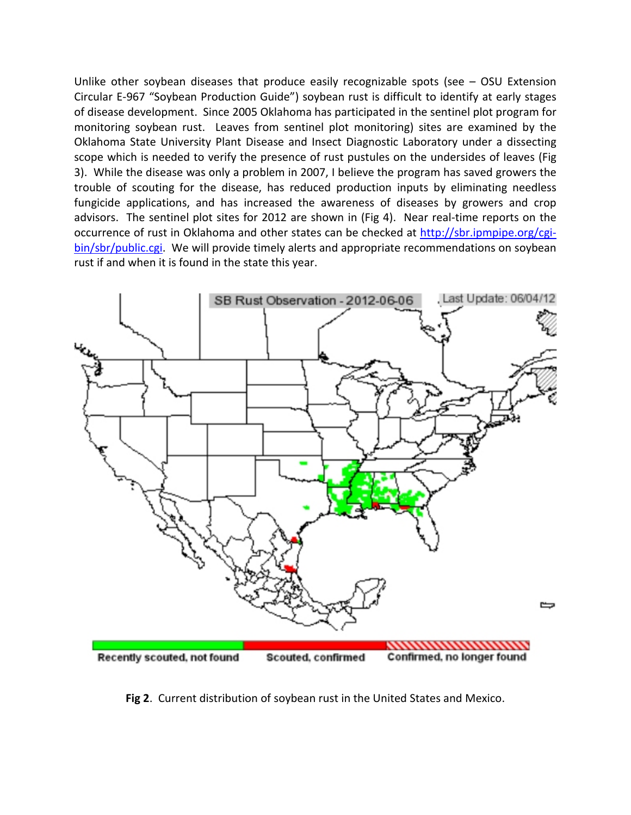Unlike other soybean diseases that produce easily recognizable spots (see – OSU Extension Circular E-967 "Soybean Production Guide") soybean rust is difficult to identify at early stages of disease development. Since 2005 Oklahoma has participated in the sentinel plot program for monitoring soybean rust. Leaves from sentinel plot monitoring) sites are examined by the Oklahoma State University Plant Disease and Insect Diagnostic Laboratory under a dissecting scope which is needed to verify the presence of rust pustules on the undersides of leaves (Fig 3). While the disease was only a problem in 2007, I believe the program has saved growers the trouble of scouting for the disease, has reduced production inputs by eliminating needless fungicide applications, and has increased the awareness of diseases by growers and crop advisors. The sentinel plot sites for 2012 are shown in (Fig 4). Near real-time reports on the occurrence of rust in Oklahoma and other states can be checked at [http://sbr.ipmpipe.org/cgi](http://sbr.ipmpipe.org/cgi-bin/sbr/public.cgi)[bin/sbr/public.cgi.](http://sbr.ipmpipe.org/cgi-bin/sbr/public.cgi) We will provide timely alerts and appropriate recommendations on soybean rust if and when it is found in the state this year.



**Fig 2**. Current distribution of soybean rust in the United States and Mexico.